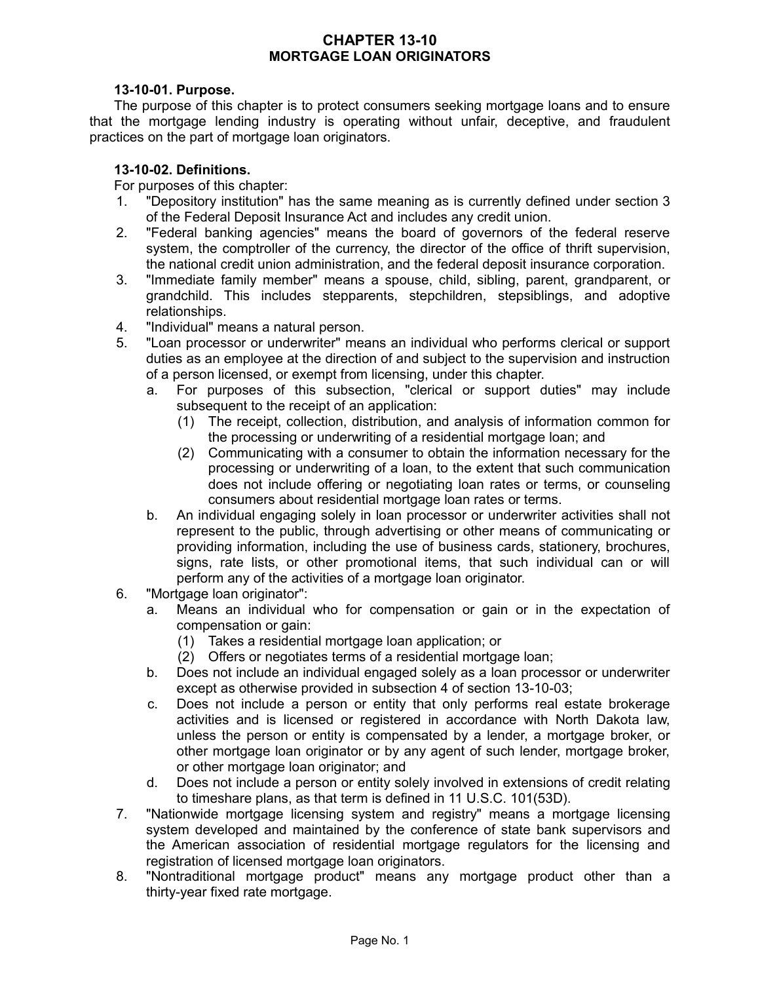# **CHAPTER 13-10 MORTGAGE LOAN ORIGINATORS**

### **13-10-01. Purpose.**

The purpose of this chapter is to protect consumers seeking mortgage loans and to ensure that the mortgage lending industry is operating without unfair, deceptive, and fraudulent practices on the part of mortgage loan originators.

## **13-10-02. Definitions.**

For purposes of this chapter:

- 1. "Depository institution" has the same meaning as is currently defined under section 3 of the Federal Deposit Insurance Act and includes any credit union.
- 2. "Federal banking agencies" means the board of governors of the federal reserve system, the comptroller of the currency, the director of the office of thrift supervision, the national credit union administration, and the federal deposit insurance corporation.
- 3. "Immediate family member" means a spouse, child, sibling, parent, grandparent, or grandchild. This includes stepparents, stepchildren, stepsiblings, and adoptive relationships.
- 4. "Individual" means a natural person.
- 5. "Loan processor or underwriter" means an individual who performs clerical or support duties as an employee at the direction of and subject to the supervision and instruction of a person licensed, or exempt from licensing, under this chapter.
	- a. For purposes of this subsection, "clerical or support duties" may include subsequent to the receipt of an application:
		- (1) The receipt, collection, distribution, and analysis of information common for the processing or underwriting of a residential mortgage loan; and
		- (2) Communicating with a consumer to obtain the information necessary for the processing or underwriting of a loan, to the extent that such communication does not include offering or negotiating loan rates or terms, or counseling consumers about residential mortgage loan rates or terms.
	- b. An individual engaging solely in loan processor or underwriter activities shall not represent to the public, through advertising or other means of communicating or providing information, including the use of business cards, stationery, brochures, signs, rate lists, or other promotional items, that such individual can or will perform any of the activities of a mortgage loan originator.
- 6. "Mortgage loan originator":
	- a. Means an individual who for compensation or gain or in the expectation of compensation or gain:
		- (1) Takes a residential mortgage loan application; or
		- (2) Offers or negotiates terms of a residential mortgage loan;
	- b. Does not include an individual engaged solely as a loan processor or underwriter except as otherwise provided in subsection 4 of section 13-10-03;
	- c. Does not include a person or entity that only performs real estate brokerage activities and is licensed or registered in accordance with North Dakota law, unless the person or entity is compensated by a lender, a mortgage broker, or other mortgage loan originator or by any agent of such lender, mortgage broker, or other mortgage loan originator; and
	- d. Does not include a person or entity solely involved in extensions of credit relating to timeshare plans, as that term is defined in 11 U.S.C. 101(53D).
- 7. "Nationwide mortgage licensing system and registry" means a mortgage licensing system developed and maintained by the conference of state bank supervisors and the American association of residential mortgage regulators for the licensing and registration of licensed mortgage loan originators.
- 8. "Nontraditional mortgage product" means any mortgage product other than a thirty-year fixed rate mortgage.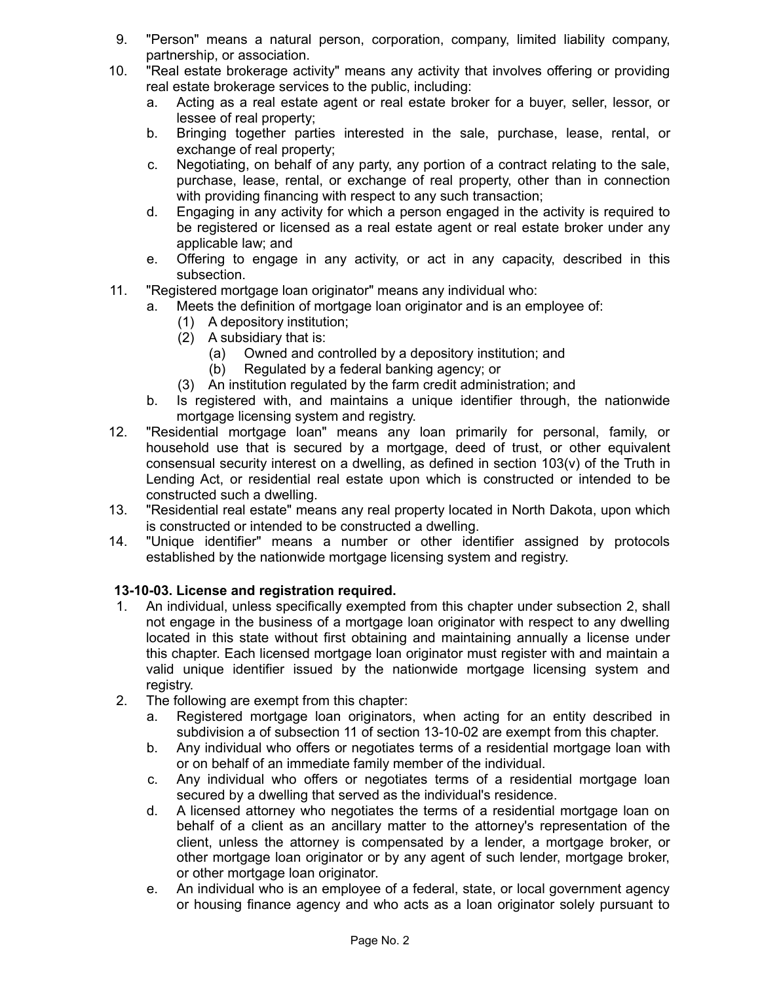- 9. "Person" means a natural person, corporation, company, limited liability company, partnership, or association.
- 10. "Real estate brokerage activity" means any activity that involves offering or providing real estate brokerage services to the public, including:
	- a. Acting as a real estate agent or real estate broker for a buyer, seller, lessor, or lessee of real property;
	- b. Bringing together parties interested in the sale, purchase, lease, rental, or exchange of real property;
	- c. Negotiating, on behalf of any party, any portion of a contract relating to the sale, purchase, lease, rental, or exchange of real property, other than in connection with providing financing with respect to any such transaction;
	- d. Engaging in any activity for which a person engaged in the activity is required to be registered or licensed as a real estate agent or real estate broker under any applicable law; and
	- e. Offering to engage in any activity, or act in any capacity, described in this subsection.
- 11. "Registered mortgage loan originator" means any individual who:
	- a. Meets the definition of mortgage loan originator and is an employee of:
		- (1) A depository institution;
		- (2) A subsidiary that is:
			- (a) Owned and controlled by a depository institution; and
			- (b) Regulated by a federal banking agency; or
		- (3) An institution regulated by the farm credit administration; and
	- b. Is registered with, and maintains a unique identifier through, the nationwide mortgage licensing system and registry.
- 12. "Residential mortgage loan" means any loan primarily for personal, family, or household use that is secured by a mortgage, deed of trust, or other equivalent consensual security interest on a dwelling, as defined in section 103(v) of the Truth in Lending Act, or residential real estate upon which is constructed or intended to be constructed such a dwelling.
- 13. "Residential real estate" means any real property located in North Dakota, upon which is constructed or intended to be constructed a dwelling.
- 14. "Unique identifier" means a number or other identifier assigned by protocols established by the nationwide mortgage licensing system and registry.

# **13-10-03. License and registration required.**

- 1. An individual, unless specifically exempted from this chapter under subsection 2, shall not engage in the business of a mortgage loan originator with respect to any dwelling located in this state without first obtaining and maintaining annually a license under this chapter. Each licensed mortgage loan originator must register with and maintain a valid unique identifier issued by the nationwide mortgage licensing system and registry.
- 2. The following are exempt from this chapter:
	- a. Registered mortgage loan originators, when acting for an entity described in subdivision a of subsection 11 of section 13-10-02 are exempt from this chapter.
	- b. Any individual who offers or negotiates terms of a residential mortgage loan with or on behalf of an immediate family member of the individual.
	- c. Any individual who offers or negotiates terms of a residential mortgage loan secured by a dwelling that served as the individual's residence.
	- d. A licensed attorney who negotiates the terms of a residential mortgage loan on behalf of a client as an ancillary matter to the attorney's representation of the client, unless the attorney is compensated by a lender, a mortgage broker, or other mortgage loan originator or by any agent of such lender, mortgage broker, or other mortgage loan originator.
	- e. An individual who is an employee of a federal, state, or local government agency or housing finance agency and who acts as a loan originator solely pursuant to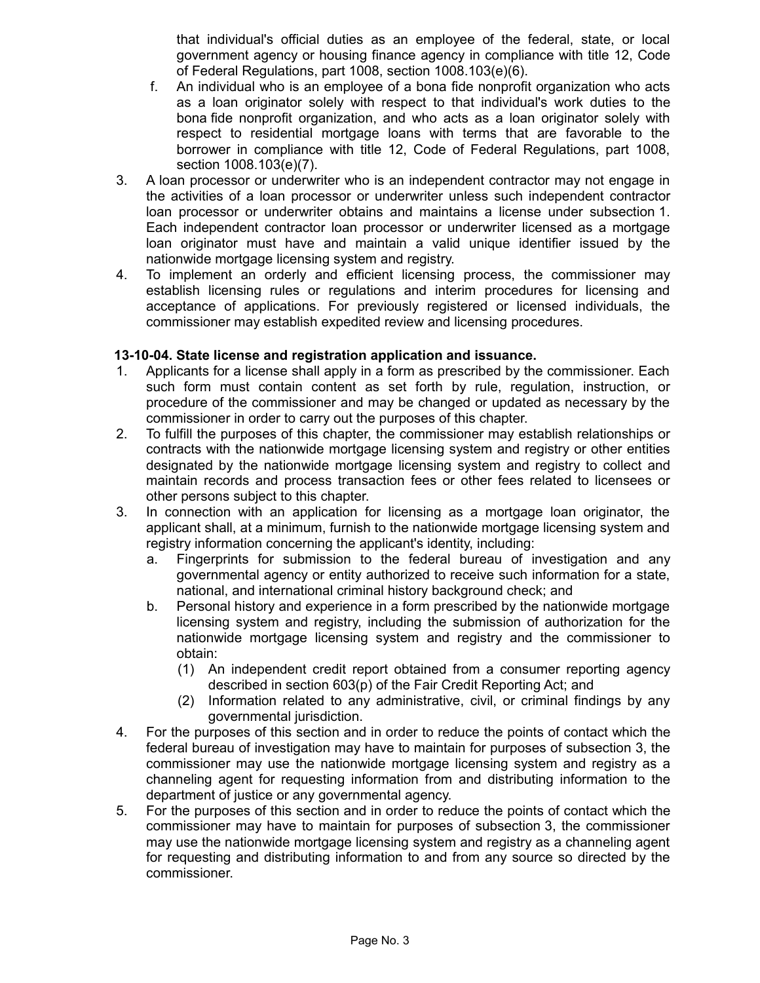that individual's official duties as an employee of the federal, state, or local government agency or housing finance agency in compliance with title 12, Code of Federal Regulations, part 1008, section 1008.103(e)(6).

- f. An individual who is an employee of a bona fide nonprofit organization who acts as a loan originator solely with respect to that individual's work duties to the bona fide nonprofit organization, and who acts as a loan originator solely with respect to residential mortgage loans with terms that are favorable to the borrower in compliance with title 12, Code of Federal Regulations, part 1008, section 1008.103(e)(7).
- 3. A loan processor or underwriter who is an independent contractor may not engage in the activities of a loan processor or underwriter unless such independent contractor loan processor or underwriter obtains and maintains a license under subsection 1. Each independent contractor loan processor or underwriter licensed as a mortgage loan originator must have and maintain a valid unique identifier issued by the nationwide mortgage licensing system and registry.
- 4. To implement an orderly and efficient licensing process, the commissioner may establish licensing rules or regulations and interim procedures for licensing and acceptance of applications. For previously registered or licensed individuals, the commissioner may establish expedited review and licensing procedures.

# **13-10-04. State license and registration application and issuance.**

- 1. Applicants for a license shall apply in a form as prescribed by the commissioner. Each such form must contain content as set forth by rule, regulation, instruction, or procedure of the commissioner and may be changed or updated as necessary by the commissioner in order to carry out the purposes of this chapter.
- 2. To fulfill the purposes of this chapter, the commissioner may establish relationships or contracts with the nationwide mortgage licensing system and registry or other entities designated by the nationwide mortgage licensing system and registry to collect and maintain records and process transaction fees or other fees related to licensees or other persons subject to this chapter.
- 3. In connection with an application for licensing as a mortgage loan originator, the applicant shall, at a minimum, furnish to the nationwide mortgage licensing system and registry information concerning the applicant's identity, including:
	- a. Fingerprints for submission to the federal bureau of investigation and any governmental agency or entity authorized to receive such information for a state, national, and international criminal history background check; and
	- b. Personal history and experience in a form prescribed by the nationwide mortgage licensing system and registry, including the submission of authorization for the nationwide mortgage licensing system and registry and the commissioner to obtain:
		- (1) An independent credit report obtained from a consumer reporting agency described in section 603(p) of the Fair Credit Reporting Act; and
		- (2) Information related to any administrative, civil, or criminal findings by any governmental jurisdiction.
- 4. For the purposes of this section and in order to reduce the points of contact which the federal bureau of investigation may have to maintain for purposes of subsection 3, the commissioner may use the nationwide mortgage licensing system and registry as a channeling agent for requesting information from and distributing information to the department of justice or any governmental agency.
- 5. For the purposes of this section and in order to reduce the points of contact which the commissioner may have to maintain for purposes of subsection 3, the commissioner may use the nationwide mortgage licensing system and registry as a channeling agent for requesting and distributing information to and from any source so directed by the commissioner.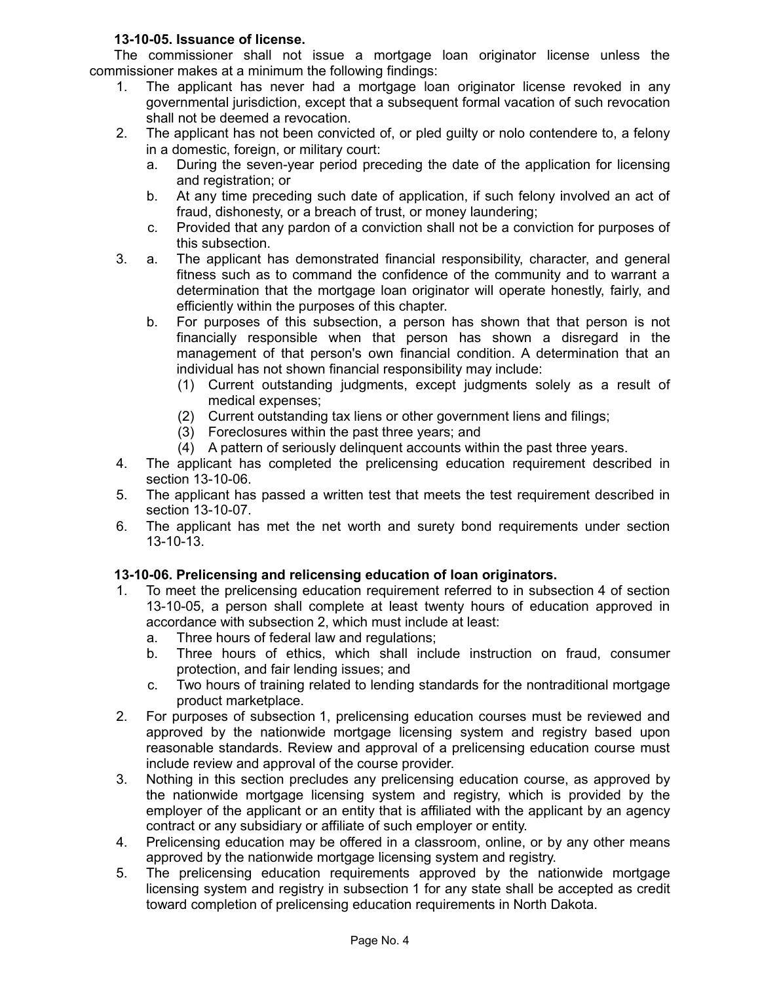# **13-10-05. Issuance of license.**

The commissioner shall not issue a mortgage loan originator license unless the commissioner makes at a minimum the following findings:

- 1. The applicant has never had a mortgage loan originator license revoked in any governmental jurisdiction, except that a subsequent formal vacation of such revocation shall not be deemed a revocation.
- 2. The applicant has not been convicted of, or pled guilty or nolo contendere to, a felony in a domestic, foreign, or military court:
	- a. During the seven-year period preceding the date of the application for licensing and registration; or
	- b. At any time preceding such date of application, if such felony involved an act of fraud, dishonesty, or a breach of trust, or money laundering;
	- c. Provided that any pardon of a conviction shall not be a conviction for purposes of this subsection.
- 3. a. The applicant has demonstrated financial responsibility, character, and general fitness such as to command the confidence of the community and to warrant a determination that the mortgage loan originator will operate honestly, fairly, and efficiently within the purposes of this chapter.
	- b. For purposes of this subsection, a person has shown that that person is not financially responsible when that person has shown a disregard in the management of that person's own financial condition. A determination that an individual has not shown financial responsibility may include:
		- (1) Current outstanding judgments, except judgments solely as a result of medical expenses;
		- (2) Current outstanding tax liens or other government liens and filings;
		- (3) Foreclosures within the past three years; and
		- (4) A pattern of seriously delinquent accounts within the past three years.
- 4. The applicant has completed the prelicensing education requirement described in section 13-10-06.
- 5. The applicant has passed a written test that meets the test requirement described in section 13-10-07.
- 6. The applicant has met the net worth and surety bond requirements under section 13-10-13.

# **13-10-06. Prelicensing and relicensing education of loan originators.**

- 1. To meet the prelicensing education requirement referred to in subsection 4 of section 13-10-05, a person shall complete at least twenty hours of education approved in accordance with subsection 2, which must include at least:
	- a. Three hours of federal law and regulations;
	- b. Three hours of ethics, which shall include instruction on fraud, consumer protection, and fair lending issues; and
	- c. Two hours of training related to lending standards for the nontraditional mortgage product marketplace.
- 2. For purposes of subsection 1, prelicensing education courses must be reviewed and approved by the nationwide mortgage licensing system and registry based upon reasonable standards. Review and approval of a prelicensing education course must include review and approval of the course provider.
- 3. Nothing in this section precludes any prelicensing education course, as approved by the nationwide mortgage licensing system and registry, which is provided by the employer of the applicant or an entity that is affiliated with the applicant by an agency contract or any subsidiary or affiliate of such employer or entity.
- 4. Prelicensing education may be offered in a classroom, online, or by any other means approved by the nationwide mortgage licensing system and registry.
- 5. The prelicensing education requirements approved by the nationwide mortgage licensing system and registry in subsection 1 for any state shall be accepted as credit toward completion of prelicensing education requirements in North Dakota.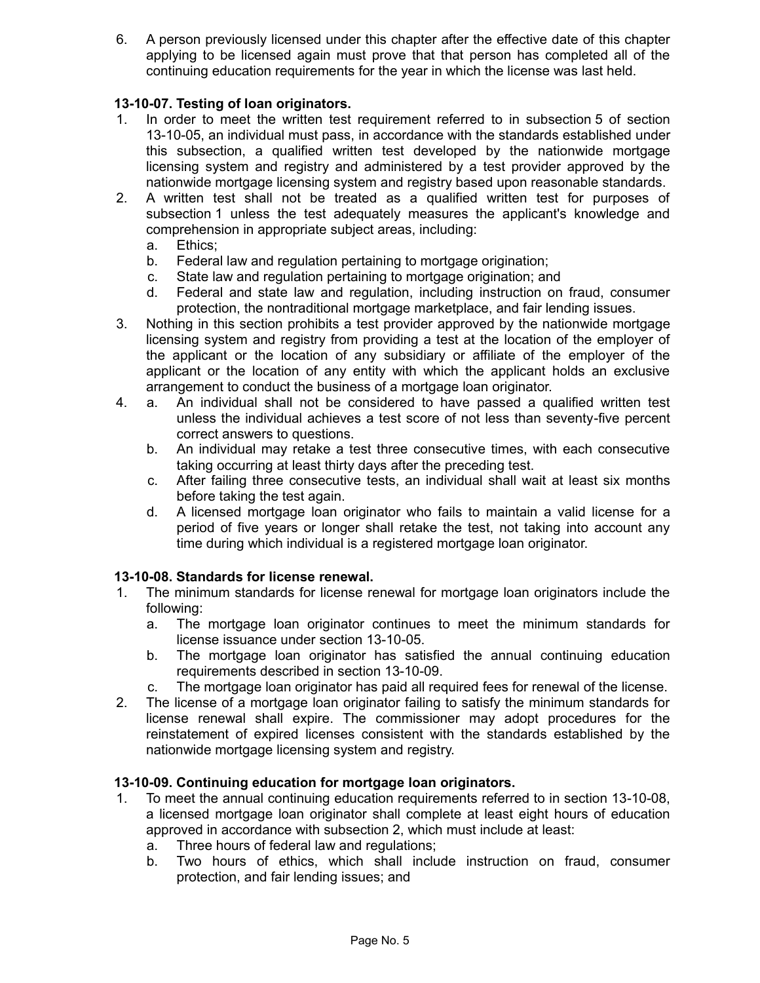6. A person previously licensed under this chapter after the effective date of this chapter applying to be licensed again must prove that that person has completed all of the continuing education requirements for the year in which the license was last held.

# **13-10-07. Testing of loan originators.**

- 1. In order to meet the written test requirement referred to in subsection 5 of section 13-10-05, an individual must pass, in accordance with the standards established under this subsection, a qualified written test developed by the nationwide mortgage licensing system and registry and administered by a test provider approved by the nationwide mortgage licensing system and registry based upon reasonable standards.
- 2. A written test shall not be treated as a qualified written test for purposes of subsection 1 unless the test adequately measures the applicant's knowledge and comprehension in appropriate subject areas, including:
	- a. Ethics;
	- b. Federal law and regulation pertaining to mortgage origination;
	- c. State law and regulation pertaining to mortgage origination; and
	- d. Federal and state law and regulation, including instruction on fraud, consumer protection, the nontraditional mortgage marketplace, and fair lending issues.
- 3. Nothing in this section prohibits a test provider approved by the nationwide mortgage licensing system and registry from providing a test at the location of the employer of the applicant or the location of any subsidiary or affiliate of the employer of the applicant or the location of any entity with which the applicant holds an exclusive arrangement to conduct the business of a mortgage loan originator.
- 4. a. An individual shall not be considered to have passed a qualified written test unless the individual achieves a test score of not less than seventy-five percent correct answers to questions.
	- b. An individual may retake a test three consecutive times, with each consecutive taking occurring at least thirty days after the preceding test.
	- c. After failing three consecutive tests, an individual shall wait at least six months before taking the test again.
	- d. A licensed mortgage loan originator who fails to maintain a valid license for a period of five years or longer shall retake the test, not taking into account any time during which individual is a registered mortgage loan originator.

# **13-10-08. Standards for license renewal.**

- 1. The minimum standards for license renewal for mortgage loan originators include the following:
	- a. The mortgage loan originator continues to meet the minimum standards for license issuance under section 13-10-05.
	- b. The mortgage loan originator has satisfied the annual continuing education requirements described in section 13-10-09.
	- c. The mortgage loan originator has paid all required fees for renewal of the license.
- 2. The license of a mortgage loan originator failing to satisfy the minimum standards for license renewal shall expire. The commissioner may adopt procedures for the reinstatement of expired licenses consistent with the standards established by the nationwide mortgage licensing system and registry.

#### **13-10-09. Continuing education for mortgage loan originators.**

- 1. To meet the annual continuing education requirements referred to in section 13-10-08, a licensed mortgage loan originator shall complete at least eight hours of education approved in accordance with subsection 2, which must include at least:
	- a. Three hours of federal law and regulations;
	- b. Two hours of ethics, which shall include instruction on fraud, consumer protection, and fair lending issues; and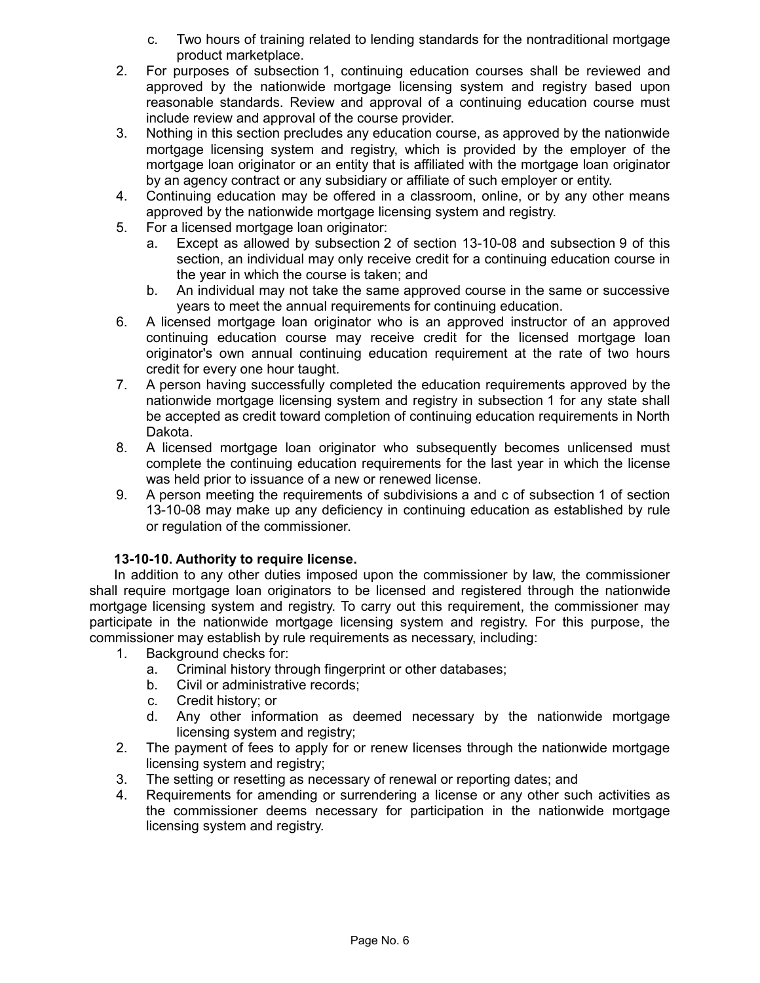- c. Two hours of training related to lending standards for the nontraditional mortgage product marketplace.
- 2. For purposes of subsection 1, continuing education courses shall be reviewed and approved by the nationwide mortgage licensing system and registry based upon reasonable standards. Review and approval of a continuing education course must include review and approval of the course provider.
- 3. Nothing in this section precludes any education course, as approved by the nationwide mortgage licensing system and registry, which is provided by the employer of the mortgage loan originator or an entity that is affiliated with the mortgage loan originator by an agency contract or any subsidiary or affiliate of such employer or entity.
- 4. Continuing education may be offered in a classroom, online, or by any other means approved by the nationwide mortgage licensing system and registry.
- 5. For a licensed mortgage loan originator:
	- a. Except as allowed by subsection 2 of section 13-10-08 and subsection 9 of this section, an individual may only receive credit for a continuing education course in the year in which the course is taken; and
	- b. An individual may not take the same approved course in the same or successive years to meet the annual requirements for continuing education.
- 6. A licensed mortgage loan originator who is an approved instructor of an approved continuing education course may receive credit for the licensed mortgage loan originator's own annual continuing education requirement at the rate of two hours credit for every one hour taught.
- 7. A person having successfully completed the education requirements approved by the nationwide mortgage licensing system and registry in subsection 1 for any state shall be accepted as credit toward completion of continuing education requirements in North Dakota.
- 8. A licensed mortgage loan originator who subsequently becomes unlicensed must complete the continuing education requirements for the last year in which the license was held prior to issuance of a new or renewed license.
- 9. A person meeting the requirements of subdivisions a and c of subsection 1 of section 13-10-08 may make up any deficiency in continuing education as established by rule or regulation of the commissioner.

# **13-10-10. Authority to require license.**

In addition to any other duties imposed upon the commissioner by law, the commissioner shall require mortgage loan originators to be licensed and registered through the nationwide mortgage licensing system and registry. To carry out this requirement, the commissioner may participate in the nationwide mortgage licensing system and registry. For this purpose, the commissioner may establish by rule requirements as necessary, including:

- 1. Background checks for:
	- a. Criminal history through fingerprint or other databases;
	- b. Civil or administrative records;
	- c. Credit history; or
	- d. Any other information as deemed necessary by the nationwide mortgage licensing system and registry;
- 2. The payment of fees to apply for or renew licenses through the nationwide mortgage licensing system and registry;
- 3. The setting or resetting as necessary of renewal or reporting dates; and
- 4. Requirements for amending or surrendering a license or any other such activities as the commissioner deems necessary for participation in the nationwide mortgage licensing system and registry.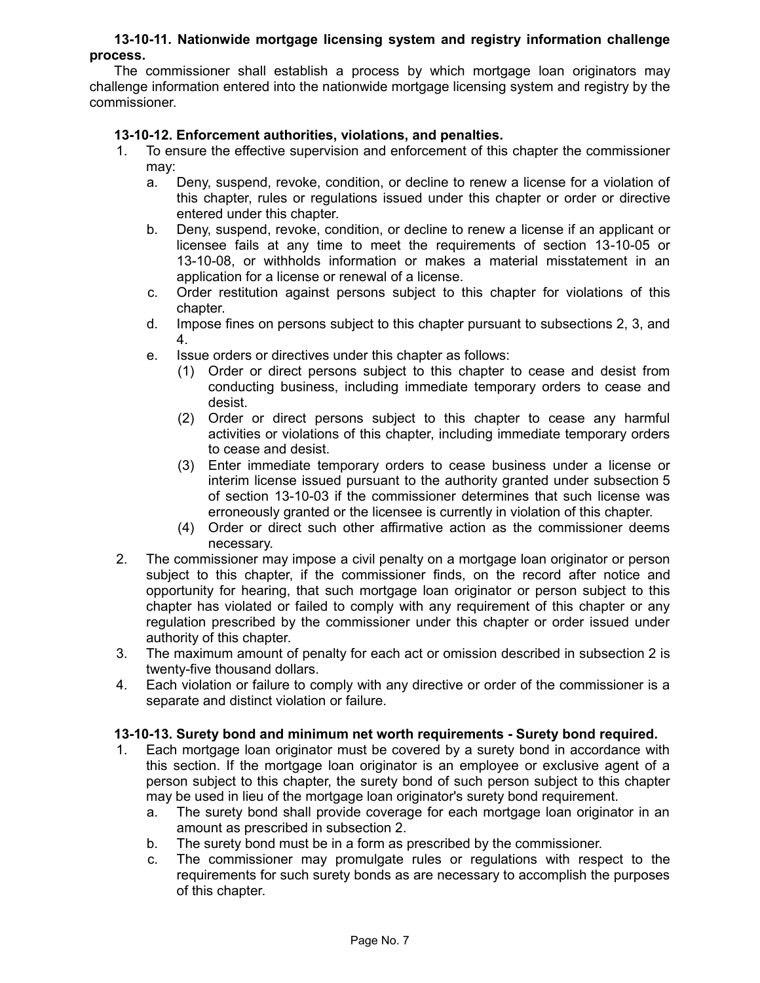#### **13-10-11. Nationwide mortgage licensing system and registry information challenge process.**

The commissioner shall establish a process by which mortgage loan originators may challenge information entered into the nationwide mortgage licensing system and registry by the commissioner.

### **13-10-12. Enforcement authorities, violations, and penalties.**

- 1. To ensure the effective supervision and enforcement of this chapter the commissioner may:
	- a. Deny, suspend, revoke, condition, or decline to renew a license for a violation of this chapter, rules or regulations issued under this chapter or order or directive entered under this chapter.
	- b. Deny, suspend, revoke, condition, or decline to renew a license if an applicant or licensee fails at any time to meet the requirements of section 13-10-05 or 13-10-08, or withholds information or makes a material misstatement in an application for a license or renewal of a license.
	- c. Order restitution against persons subject to this chapter for violations of this chapter.
	- d. Impose fines on persons subject to this chapter pursuant to subsections 2, 3, and 4.
	- e. Issue orders or directives under this chapter as follows:
		- (1) Order or direct persons subject to this chapter to cease and desist from conducting business, including immediate temporary orders to cease and desist.
		- (2) Order or direct persons subject to this chapter to cease any harmful activities or violations of this chapter, including immediate temporary orders to cease and desist.
		- (3) Enter immediate temporary orders to cease business under a license or interim license issued pursuant to the authority granted under subsection 5 of section 13-10-03 if the commissioner determines that such license was erroneously granted or the licensee is currently in violation of this chapter.
		- (4) Order or direct such other affirmative action as the commissioner deems necessary.
- 2. The commissioner may impose a civil penalty on a mortgage loan originator or person subject to this chapter, if the commissioner finds, on the record after notice and opportunity for hearing, that such mortgage loan originator or person subject to this chapter has violated or failed to comply with any requirement of this chapter or any regulation prescribed by the commissioner under this chapter or order issued under authority of this chapter.
- 3. The maximum amount of penalty for each act or omission described in subsection 2 is twenty-five thousand dollars.
- 4. Each violation or failure to comply with any directive or order of the commissioner is a separate and distinct violation or failure.

#### **13-10-13. Surety bond and minimum net worth requirements - Surety bond required.**

- 1. Each mortgage loan originator must be covered by a surety bond in accordance with this section. If the mortgage loan originator is an employee or exclusive agent of a person subject to this chapter, the surety bond of such person subject to this chapter may be used in lieu of the mortgage loan originator's surety bond requirement.
	- a. The surety bond shall provide coverage for each mortgage loan originator in an amount as prescribed in subsection 2.
	- b. The surety bond must be in a form as prescribed by the commissioner.
	- c. The commissioner may promulgate rules or regulations with respect to the requirements for such surety bonds as are necessary to accomplish the purposes of this chapter.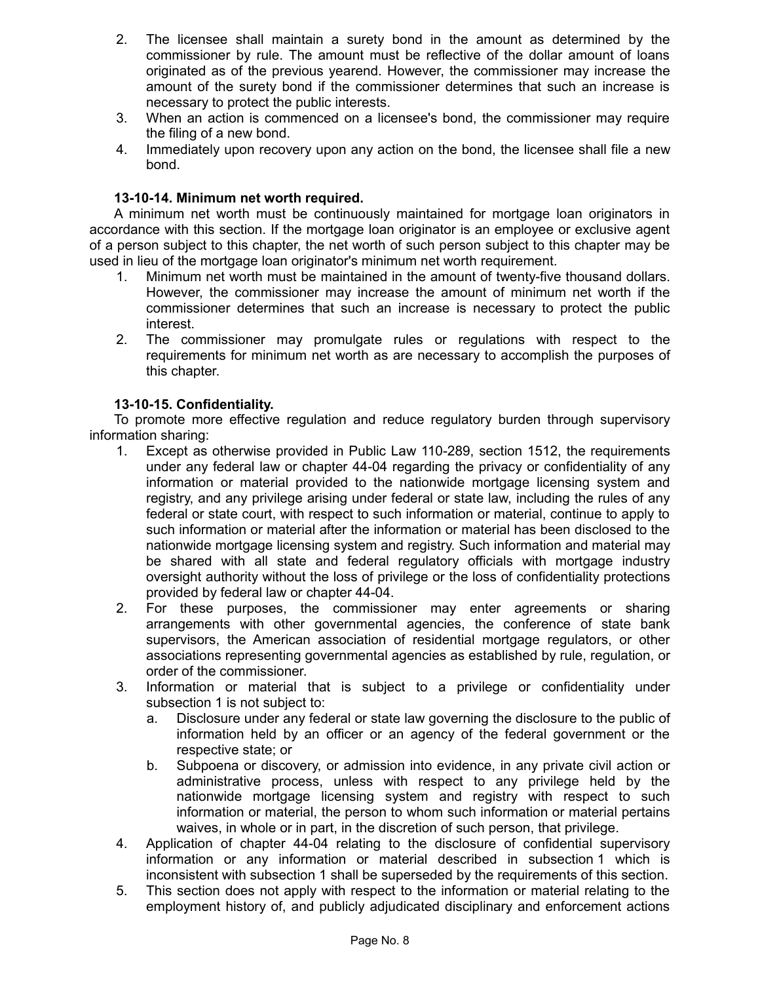- 2. The licensee shall maintain a surety bond in the amount as determined by the commissioner by rule. The amount must be reflective of the dollar amount of loans originated as of the previous yearend. However, the commissioner may increase the amount of the surety bond if the commissioner determines that such an increase is necessary to protect the public interests.
- 3. When an action is commenced on a licensee's bond, the commissioner may require the filing of a new bond.
- 4. Immediately upon recovery upon any action on the bond, the licensee shall file a new bond.

### **13-10-14. Minimum net worth required.**

A minimum net worth must be continuously maintained for mortgage loan originators in accordance with this section. If the mortgage loan originator is an employee or exclusive agent of a person subject to this chapter, the net worth of such person subject to this chapter may be used in lieu of the mortgage loan originator's minimum net worth requirement.

- 1. Minimum net worth must be maintained in the amount of twenty-five thousand dollars. However, the commissioner may increase the amount of minimum net worth if the commissioner determines that such an increase is necessary to protect the public interest.
- 2. The commissioner may promulgate rules or regulations with respect to the requirements for minimum net worth as are necessary to accomplish the purposes of this chapter.

### **13-10-15. Confidentiality.**

To promote more effective regulation and reduce regulatory burden through supervisory information sharing:

- 1. Except as otherwise provided in Public Law 110-289, section 1512, the requirements under any federal law or chapter 44-04 regarding the privacy or confidentiality of any information or material provided to the nationwide mortgage licensing system and registry, and any privilege arising under federal or state law, including the rules of any federal or state court, with respect to such information or material, continue to apply to such information or material after the information or material has been disclosed to the nationwide mortgage licensing system and registry. Such information and material may be shared with all state and federal regulatory officials with mortgage industry oversight authority without the loss of privilege or the loss of confidentiality protections provided by federal law or chapter 44-04.
- 2. For these purposes, the commissioner may enter agreements or sharing arrangements with other governmental agencies, the conference of state bank supervisors, the American association of residential mortgage regulators, or other associations representing governmental agencies as established by rule, regulation, or order of the commissioner.
- 3. Information or material that is subject to a privilege or confidentiality under subsection 1 is not subject to:
	- a. Disclosure under any federal or state law governing the disclosure to the public of information held by an officer or an agency of the federal government or the respective state; or
	- b. Subpoena or discovery, or admission into evidence, in any private civil action or administrative process, unless with respect to any privilege held by the nationwide mortgage licensing system and registry with respect to such information or material, the person to whom such information or material pertains waives, in whole or in part, in the discretion of such person, that privilege.
- 4. Application of chapter 44-04 relating to the disclosure of confidential supervisory information or any information or material described in subsection 1 which is inconsistent with subsection 1 shall be superseded by the requirements of this section.
- 5. This section does not apply with respect to the information or material relating to the employment history of, and publicly adjudicated disciplinary and enforcement actions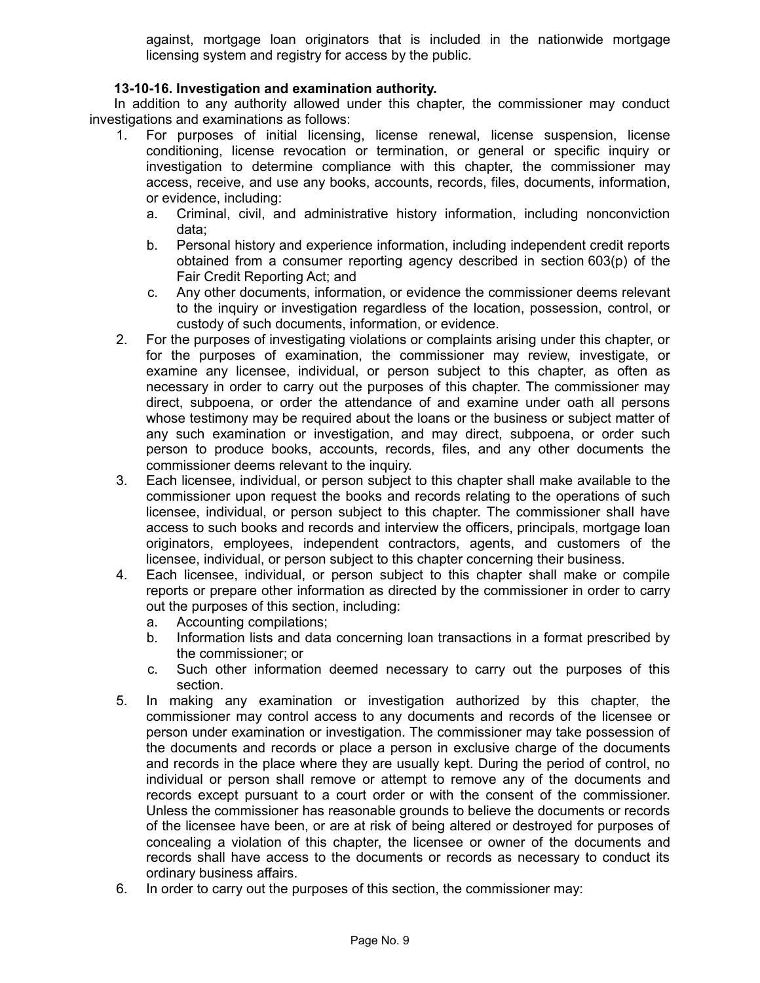against, mortgage loan originators that is included in the nationwide mortgage licensing system and registry for access by the public.

# **13-10-16. Investigation and examination authority.**

In addition to any authority allowed under this chapter, the commissioner may conduct investigations and examinations as follows:

- 1. For purposes of initial licensing, license renewal, license suspension, license conditioning, license revocation or termination, or general or specific inquiry or investigation to determine compliance with this chapter, the commissioner may access, receive, and use any books, accounts, records, files, documents, information, or evidence, including:
	- a. Criminal, civil, and administrative history information, including nonconviction data;
	- b. Personal history and experience information, including independent credit reports obtained from a consumer reporting agency described in section 603(p) of the Fair Credit Reporting Act; and
	- c. Any other documents, information, or evidence the commissioner deems relevant to the inquiry or investigation regardless of the location, possession, control, or custody of such documents, information, or evidence.
- 2. For the purposes of investigating violations or complaints arising under this chapter, or for the purposes of examination, the commissioner may review, investigate, or examine any licensee, individual, or person subject to this chapter, as often as necessary in order to carry out the purposes of this chapter. The commissioner may direct, subpoena, or order the attendance of and examine under oath all persons whose testimony may be required about the loans or the business or subject matter of any such examination or investigation, and may direct, subpoena, or order such person to produce books, accounts, records, files, and any other documents the commissioner deems relevant to the inquiry.
- 3. Each licensee, individual, or person subject to this chapter shall make available to the commissioner upon request the books and records relating to the operations of such licensee, individual, or person subject to this chapter. The commissioner shall have access to such books and records and interview the officers, principals, mortgage loan originators, employees, independent contractors, agents, and customers of the licensee, individual, or person subject to this chapter concerning their business.
- 4. Each licensee, individual, or person subject to this chapter shall make or compile reports or prepare other information as directed by the commissioner in order to carry out the purposes of this section, including:
	- a. Accounting compilations;
	- b. Information lists and data concerning loan transactions in a format prescribed by the commissioner; or
	- c. Such other information deemed necessary to carry out the purposes of this section.
- 5. In making any examination or investigation authorized by this chapter, the commissioner may control access to any documents and records of the licensee or person under examination or investigation. The commissioner may take possession of the documents and records or place a person in exclusive charge of the documents and records in the place where they are usually kept. During the period of control, no individual or person shall remove or attempt to remove any of the documents and records except pursuant to a court order or with the consent of the commissioner. Unless the commissioner has reasonable grounds to believe the documents or records of the licensee have been, or are at risk of being altered or destroyed for purposes of concealing a violation of this chapter, the licensee or owner of the documents and records shall have access to the documents or records as necessary to conduct its ordinary business affairs.
- 6. In order to carry out the purposes of this section, the commissioner may: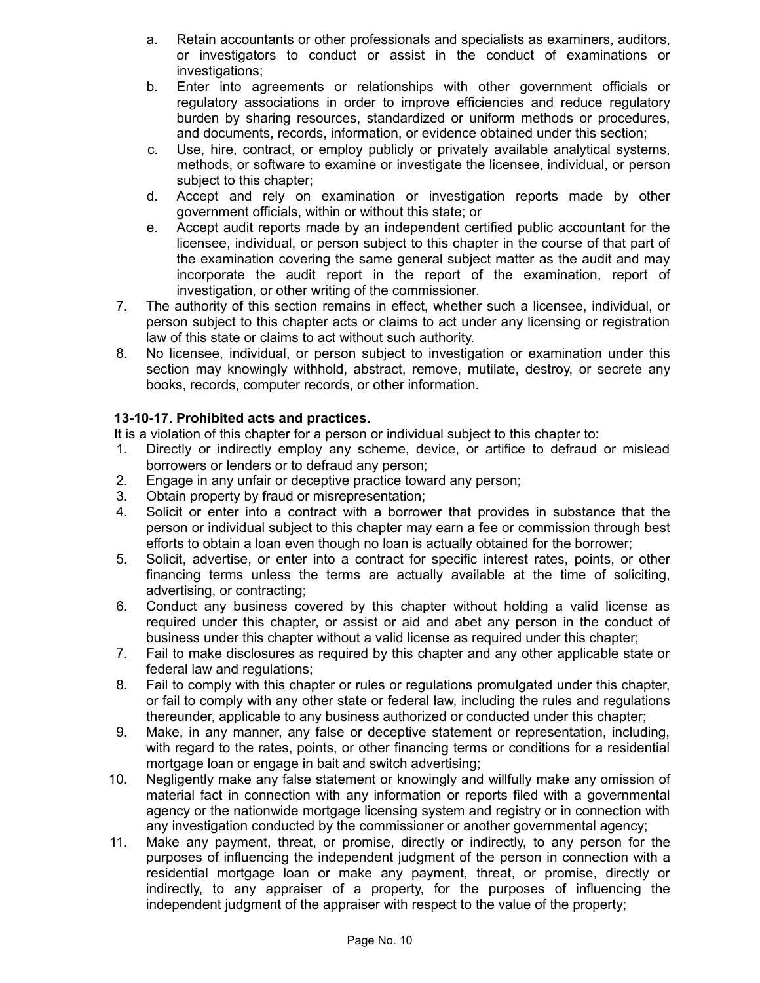- a. Retain accountants or other professionals and specialists as examiners, auditors, or investigators to conduct or assist in the conduct of examinations or investigations;
- b. Enter into agreements or relationships with other government officials or regulatory associations in order to improve efficiencies and reduce regulatory burden by sharing resources, standardized or uniform methods or procedures, and documents, records, information, or evidence obtained under this section;
- c. Use, hire, contract, or employ publicly or privately available analytical systems, methods, or software to examine or investigate the licensee, individual, or person subject to this chapter;
- d. Accept and rely on examination or investigation reports made by other government officials, within or without this state; or
- e. Accept audit reports made by an independent certified public accountant for the licensee, individual, or person subject to this chapter in the course of that part of the examination covering the same general subject matter as the audit and may incorporate the audit report in the report of the examination, report of investigation, or other writing of the commissioner.
- 7. The authority of this section remains in effect, whether such a licensee, individual, or person subject to this chapter acts or claims to act under any licensing or registration law of this state or claims to act without such authority.
- 8. No licensee, individual, or person subject to investigation or examination under this section may knowingly withhold, abstract, remove, mutilate, destroy, or secrete any books, records, computer records, or other information.

# **13-10-17. Prohibited acts and practices.**

It is a violation of this chapter for a person or individual subject to this chapter to:

- 1. Directly or indirectly employ any scheme, device, or artifice to defraud or mislead borrowers or lenders or to defraud any person;
- 2. Engage in any unfair or deceptive practice toward any person;
- 3. Obtain property by fraud or misrepresentation;
- 4. Solicit or enter into a contract with a borrower that provides in substance that the person or individual subject to this chapter may earn a fee or commission through best efforts to obtain a loan even though no loan is actually obtained for the borrower;
- 5. Solicit, advertise, or enter into a contract for specific interest rates, points, or other financing terms unless the terms are actually available at the time of soliciting, advertising, or contracting;
- 6. Conduct any business covered by this chapter without holding a valid license as required under this chapter, or assist or aid and abet any person in the conduct of business under this chapter without a valid license as required under this chapter;
- 7. Fail to make disclosures as required by this chapter and any other applicable state or federal law and regulations;
- 8. Fail to comply with this chapter or rules or regulations promulgated under this chapter, or fail to comply with any other state or federal law, including the rules and regulations thereunder, applicable to any business authorized or conducted under this chapter;
- 9. Make, in any manner, any false or deceptive statement or representation, including, with regard to the rates, points, or other financing terms or conditions for a residential mortgage loan or engage in bait and switch advertising;
- 10. Negligently make any false statement or knowingly and willfully make any omission of material fact in connection with any information or reports filed with a governmental agency or the nationwide mortgage licensing system and registry or in connection with any investigation conducted by the commissioner or another governmental agency;
- 11. Make any payment, threat, or promise, directly or indirectly, to any person for the purposes of influencing the independent judgment of the person in connection with a residential mortgage loan or make any payment, threat, or promise, directly or indirectly, to any appraiser of a property, for the purposes of influencing the independent judgment of the appraiser with respect to the value of the property;